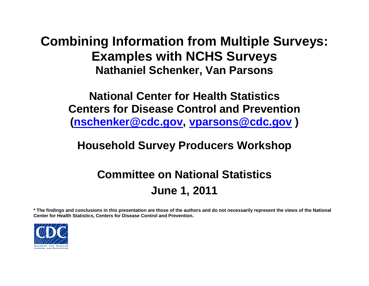**Combining Information from Multiple Surveys: Examples with NCHS Surveys Nathaniel Schenker, Van Parsons**

**National Center for Health Statistics Centers for Disease Control and Prevention [\(nschenker@cdc.gov,](mailto:nschenker@cdc.gov) [vparsons@cdc.gov](mailto:vparsons@cdc.gov) )** 

### **Household Survey Producers Workshop**

# **Committee on National Statistics June 1, 2011**

**\* The findings and conclusions in this presentation are those of the authors and do not necessarily represent the views of the National Center for Health Statistics, Centers for Disease Control and Prevention.** 

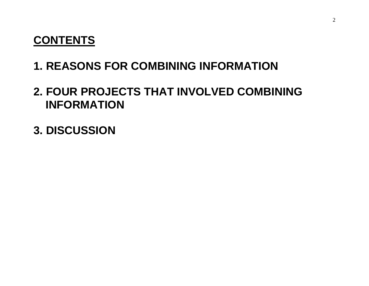#### **CONTENTS**

# **1. REASONS FOR COMBINING INFORMATION**

## **2. FOUR PROJECTS THAT INVOLVED COMBINING INFORMATION**

**3. DISCUSSION**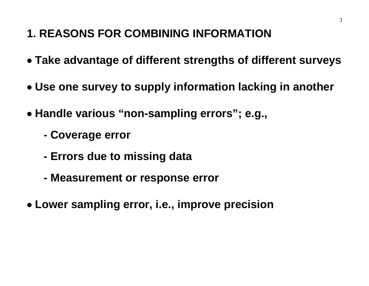# **1. REASONS FOR COMBINING INFORMATION**

- **Take advantage of different strengths of different surveys**
- **Use one survey to supply information lacking in another**
- **Handle various "non-sampling errors"; e.g.,**
	- **Coverage error**
	- **Errors due to missing data**
	- **Measurement or response error**
- **Lower sampling error, i.e., improve precision**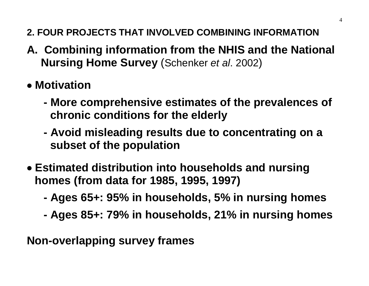- **2. FOUR PROJECTS THAT INVOLVED COMBINING INFORMATION**
- **A. Combining information from the NHIS and the National Nursing Home Survey** (Schenker *et al*. 2002)
- **Motivation**
	- **More comprehensive estimates of the prevalences of chronic conditions for the elderly**
	- **Avoid misleading results due to concentrating on a subset of the population**
- **Estimated distribution into households and nursing homes (from data for 1985, 1995, 1997)**
	- **Ages 65+: 95% in households, 5% in nursing homes**
	- **Ages 85+: 79% in households, 21% in nursing homes**

**Non-overlapping survey frames**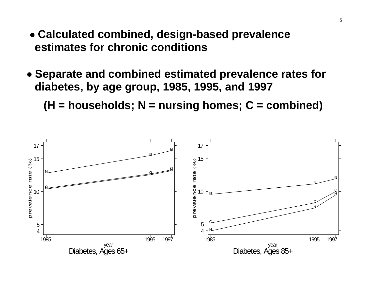- **Calculated combined, design-based prevalence estimates for chronic conditions**
- **Separate and combined estimated prevalence rates for diabetes, by age group, 1985, 1995, and 1997**

**(H = households; N = nursing homes; C = combined)**

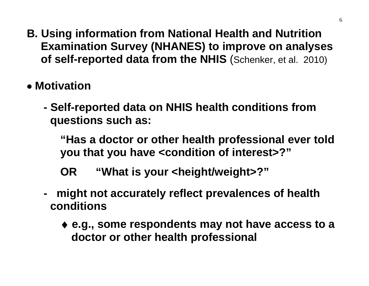- **B. Using information from National Health and Nutrition Examination Survey (NHANES) to improve on analyses of self-reported data from the NHIS** (Schenker, et al. 2010)
- **Motivation**
	- **Self-reported data on NHIS health conditions from questions such as:**

**"Has a doctor or other health professional ever told you that you have <condition of interest>?"** 

**OR "What is your <height/weight>?"**

- **might not accurately reflect prevalences of health conditions**
	- ♦ **e.g., some respondents may not have access to a doctor or other health professional**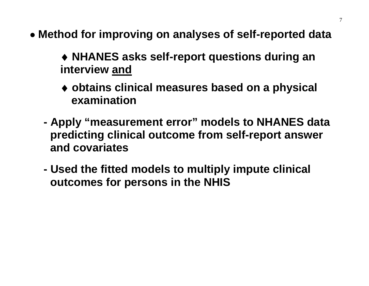- **Method for improving on analyses of self-reported data**
	- ♦ **NHANES asks self-report questions during an interview and**
	- ♦ **obtains clinical measures based on a physical examination**
	- **Apply "measurement error" models to NHANES data predicting clinical outcome from self-report answer and covariates**
	- **Used the fitted models to multiply impute clinical outcomes for persons in the NHIS**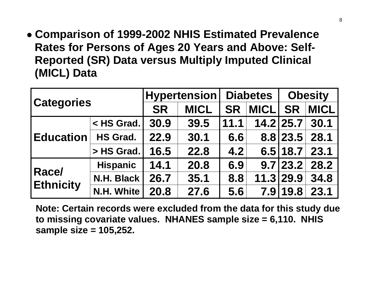• **Comparison of 1999-2002 NHIS Estimated Prevalence Rates for Persons of Ages 20 Years and Above: Self-Reported (SR) Data versus Multiply Imputed Clinical (MICL) Data**

| <b>Categories</b>         |                 | <b>Hypertension</b> |             | <b>Diabetes</b> |             | <b>Obesity</b> |             |
|---------------------------|-----------------|---------------------|-------------|-----------------|-------------|----------------|-------------|
|                           |                 | <b>SR</b>           | <b>MICL</b> | <b>SR</b>       | <b>MICL</b> | <b>SR</b>      | <b>MICL</b> |
| <b>Education</b>          | $\leq$ HS Grad. | 30.9                | 39.5        | 11.1            |             | 14.2 25.7      | 30.1        |
|                           | <b>HS Grad.</b> | 22.9                | 30.1        | 6.6             |             | 8.8 23.5       | 28.1        |
|                           | > HS Grad.      | 16.5                | 22.8        | 4.2             |             | 6.5 18.7       | 23.1        |
| Race/<br><b>Ethnicity</b> | <b>Hispanic</b> | 14.1                | 20.8        | 6.9             |             | 9.7 23.2       | 28.2        |
|                           | N.H. Black      | 26.7                | 35.1        | 8.8             |             | 11.3 29.9      | 34.8        |
|                           | N.H. White      | 20.8                | 27.6        | 5.6             | 7.9         | 19.8           | 23.1        |

**Note: Certain records were excluded from the data for this study due to missing covariate values. NHANES sample size = 6,110. NHIS sample size = 105,252.**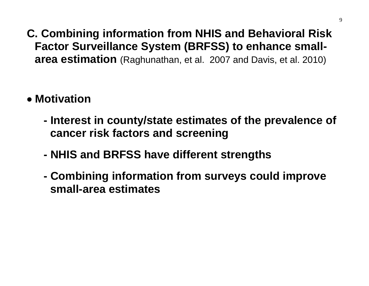#### **C. Combining information from NHIS and Behavioral Risk Factor Surveillance System (BRFSS) to enhance smallarea estimation** (Raghunathan, et al. 2007 and Davis, et al. 2010)

# • **Motivation**

- **Interest in county/state estimates of the prevalence of cancer risk factors and screening**
- **NHIS and BRFSS have different strengths**
- **Combining information from surveys could improve small-area estimates**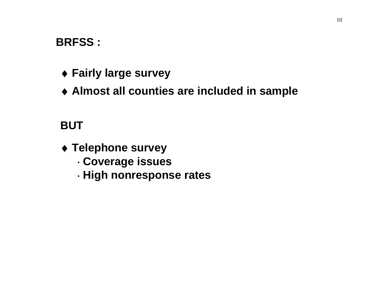#### **BRFSS :**

- ♦ **Fairly large survey**
- ♦ **Almost all counties are included in sample**

#### **BUT**

- ♦ **Telephone survey**
	- ⋅ **Coverage issues**
	- ⋅ **High nonresponse rates**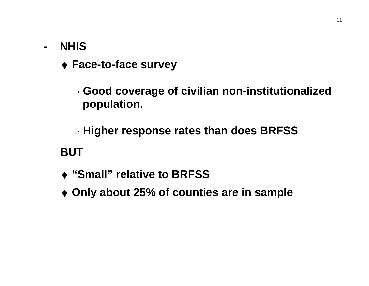#### **- NHIS**

♦ **Face-to-face survey**

⋅ **Good coverage of civilian non-institutionalized population.**

⋅ **Higher response rates than does BRFSS**

**BUT**

- ♦ **"Small" relative to BRFSS**
- ♦ **Only about 25% of counties are in sample**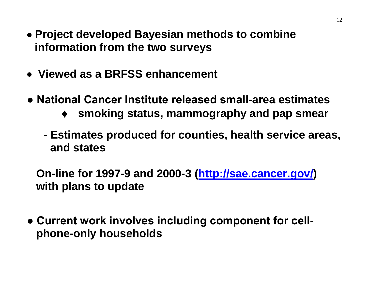- **Project developed Bayesian methods to combine information from the two surveys**
- • **Viewed as a BRFSS enhancement**
- **National Cancer Institute released small-area estimates** 
	- ♦ **smoking status, mammography and pap smear**
	- **Estimates produced for counties, health service areas, and states**

 **On-line for 1997-9 and 2000-3 [\(http://sae.cancer.gov/\)](http://sae.cancer.gov/) with plans to update**

**● Current work involves including component for cellphone-only households**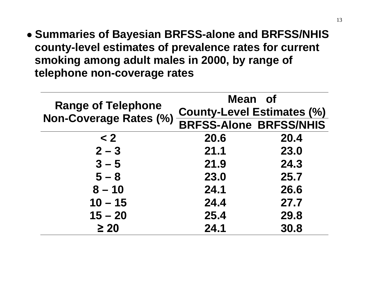• **Summaries of Bayesian BRFSS-alone and BRFSS/NHIS county-level estimates of prevalence rates for current smoking among adult males in 2000, by range of telephone non-coverage rates** 

|                               | Mean of                           |      |  |  |  |
|-------------------------------|-----------------------------------|------|--|--|--|
| <b>Range of Telephone</b>     | <b>County-Level Estimates (%)</b> |      |  |  |  |
| <b>Non-Coverage Rates (%)</b> | <b>BRFSS-Alone BRFSS/NHIS</b>     |      |  |  |  |
| < 2                           | 20.6                              | 20.4 |  |  |  |
| $2 - 3$                       | 21.1                              | 23.0 |  |  |  |
| $3 - 5$                       | 21.9                              | 24.3 |  |  |  |
| $5 - 8$                       | 23.0                              | 25.7 |  |  |  |
| $8 - 10$                      | 24.1                              | 26.6 |  |  |  |
| $10 - 15$                     | 24.4                              | 27.7 |  |  |  |
| $15 - 20$                     | 25.4                              | 29.8 |  |  |  |
| $\geq 20$                     | 24.1                              | 30.8 |  |  |  |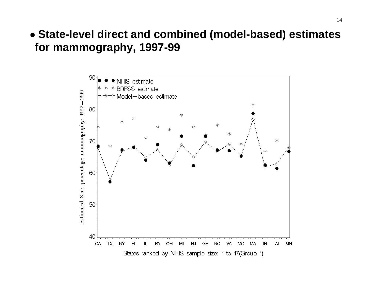#### • **State-level direct and combined (model-based) estimates for mammography, 1997-99**

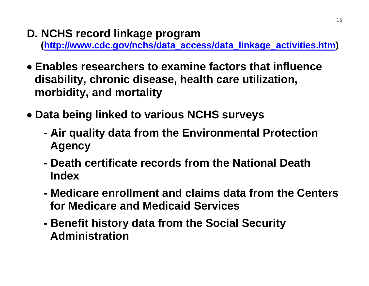#### **D. NCHS record linkage program**

**[\(http://www.cdc.gov/nchs/data\\_access/data\\_linkage\\_activities.htm\)](http://www.cdc.gov/nchs/data_access/data_linkage_activities.htm)** 

- • **Enables researchers to examine factors that influence disability, chronic disease, health care utilization, morbidity, and mortality**
- **Data being linked to various NCHS surveys**
	- **Air quality data from the Environmental Protection Agency**
	- **Death certificate records from the National Death Index**
	- **Medicare enrollment and claims data from the Centers for Medicare and Medicaid Services**
	- **Benefit history data from the Social Security Administration**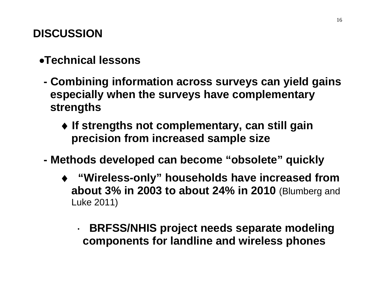# **DISCUSSION**

### •**Technical lessons**

- **Combining information across surveys can yield gains especially when the surveys have complementary strengths**
	- ♦ **If strengths not complementary, can still gain precision from increased sample size**
- **Methods developed can become "obsolete" quickly**
	- ♦ **"Wireless-only" households have increased from about 3% in 2003 to about 24% in 2010** (Blumberg and Luke 2011)

#### ⋅ **BRFSS/NHIS project needs separate modeling components for landline and wireless phones**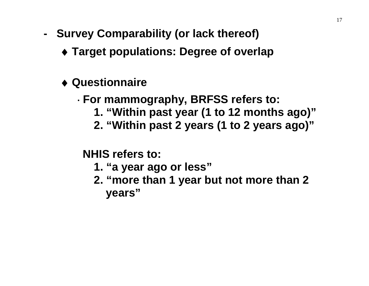- **Survey Comparability (or lack thereof)**
	- ♦ **Target populations: Degree of overlap**
	- ♦ **Questionnaire**

#### ⋅ **For mammography, BRFSS refers to:**

- **1. "Within past year (1 to 12 months ago)"**
- **2. "Within past 2 years (1 to 2 years ago)"**

**NHIS refers to:**

- **1. "a year ago or less"**
- **2. "more than 1 year but not more than 2 years"**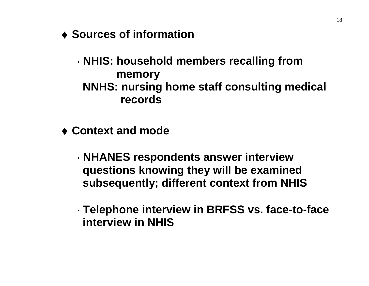♦ **Sources of information**

⋅ **NHIS: household members recalling from memory NNHS: nursing home staff consulting medical records**

♦ **Context and mode**

⋅ **NHANES respondents answer interview questions knowing they will be examined subsequently; different context from NHIS**

⋅ **Telephone interview in BRFSS vs. face-to-face interview in NHIS**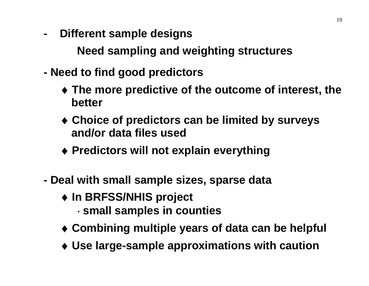**- Different sample designs**

**Need sampling and weighting structures** 

- **Need to find good predictors**
	- ♦ **The more predictive of the outcome of interest, the better**
	- ♦ **Choice of predictors can be limited by surveys and/or data files used**
	- ♦ **Predictors will not explain everything**
- **Deal with small sample sizes, sparse data**
	- ♦ **In BRFSS/NHIS project** ⋅ **small samples in counties**
	- ♦ **Combining multiple years of data can be helpful**
	- ♦ **Use large-sample approximations with caution**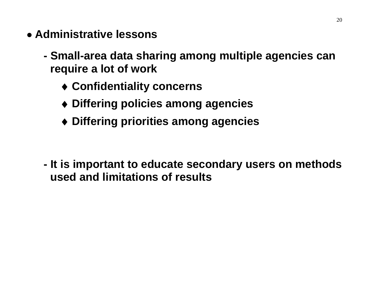- **Administrative lessons** 
	- **Small-area data sharing among multiple agencies can require a lot of work**
		- ♦ **Confidentiality concerns**
		- ♦ **Differing policies among agencies**
		- ♦ **Differing priorities among agencies**

**- It is important to educate secondary users on methods used and limitations of results**